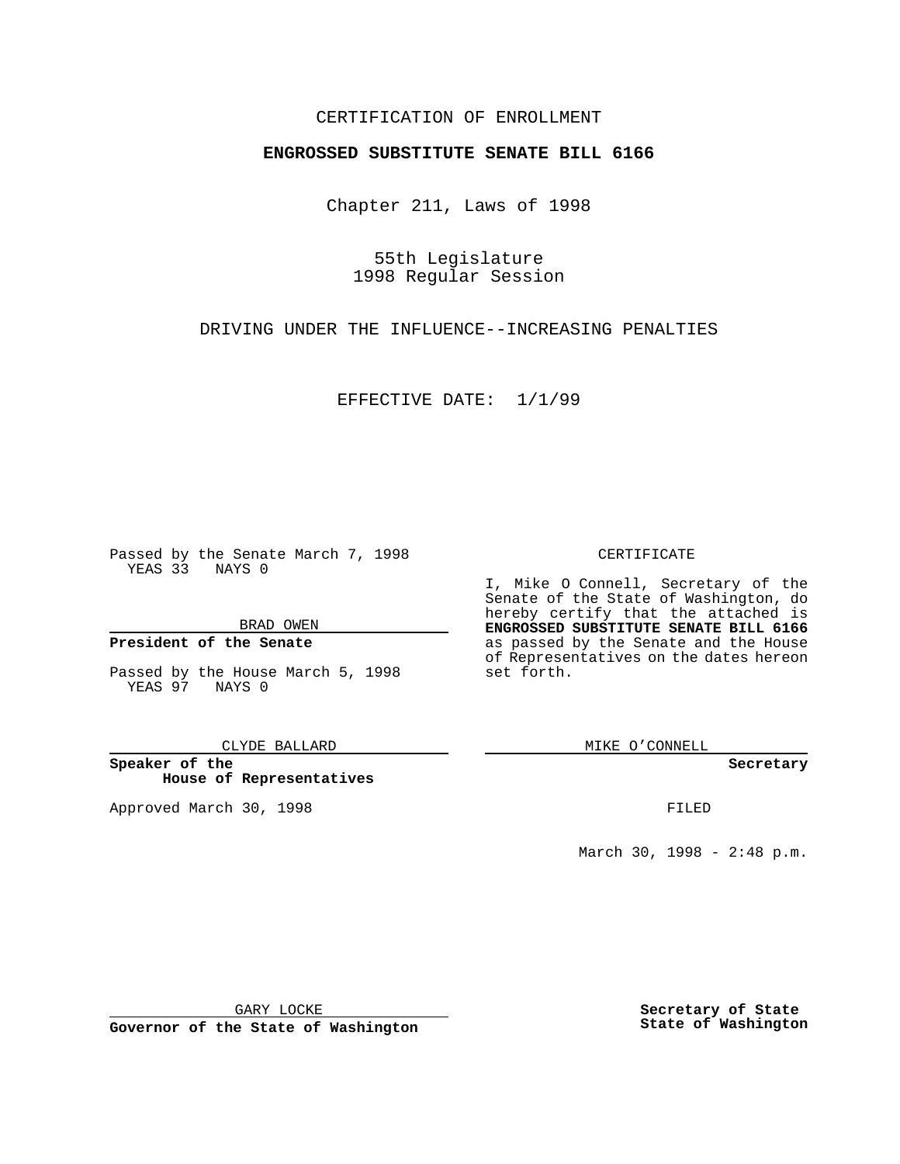### CERTIFICATION OF ENROLLMENT

# **ENGROSSED SUBSTITUTE SENATE BILL 6166**

Chapter 211, Laws of 1998

55th Legislature 1998 Regular Session

DRIVING UNDER THE INFLUENCE--INCREASING PENALTIES

EFFECTIVE DATE: 1/1/99

Passed by the Senate March 7, 1998 YEAS 33 NAYS 0

BRAD OWEN

#### **President of the Senate**

Passed by the House March 5, 1998 YEAS 97 NAYS 0

CLYDE BALLARD

**Speaker of the House of Representatives**

Approved March 30, 1998 **FILED** 

#### CERTIFICATE

I, Mike O Connell, Secretary of the Senate of the State of Washington, do hereby certify that the attached is **ENGROSSED SUBSTITUTE SENATE BILL 6166** as passed by the Senate and the House of Representatives on the dates hereon set forth.

MIKE O'CONNELL

**Secretary**

March 30, 1998 - 2:48 p.m.

GARY LOCKE

**Governor of the State of Washington**

**Secretary of State State of Washington**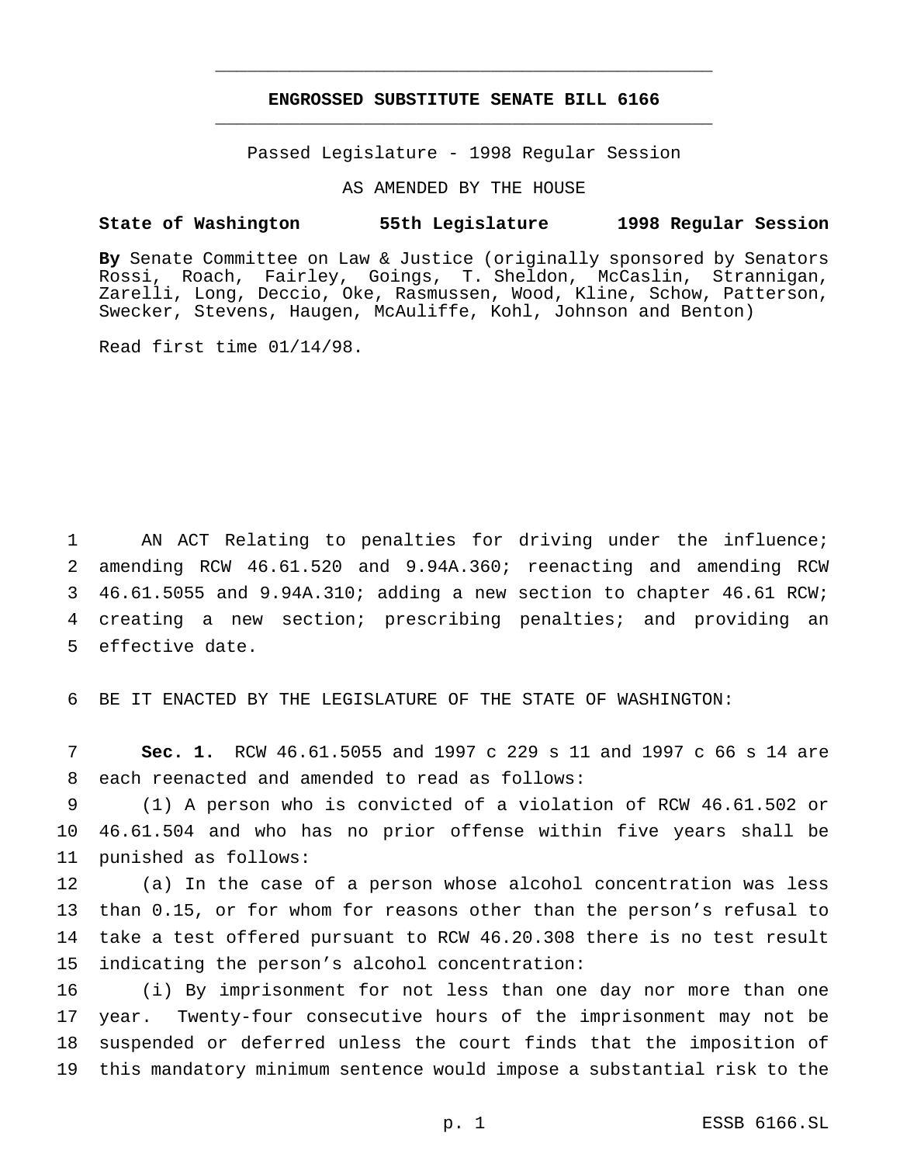## **ENGROSSED SUBSTITUTE SENATE BILL 6166** \_\_\_\_\_\_\_\_\_\_\_\_\_\_\_\_\_\_\_\_\_\_\_\_\_\_\_\_\_\_\_\_\_\_\_\_\_\_\_\_\_\_\_\_\_\_\_

\_\_\_\_\_\_\_\_\_\_\_\_\_\_\_\_\_\_\_\_\_\_\_\_\_\_\_\_\_\_\_\_\_\_\_\_\_\_\_\_\_\_\_\_\_\_\_

Passed Legislature - 1998 Regular Session

AS AMENDED BY THE HOUSE

#### **State of Washington 55th Legislature 1998 Regular Session**

**By** Senate Committee on Law & Justice (originally sponsored by Senators Rossi, Roach, Fairley, Goings, T. Sheldon, McCaslin, Strannigan, Zarelli, Long, Deccio, Oke, Rasmussen, Wood, Kline, Schow, Patterson, Swecker, Stevens, Haugen, McAuliffe, Kohl, Johnson and Benton)

Read first time 01/14/98.

 AN ACT Relating to penalties for driving under the influence; amending RCW 46.61.520 and 9.94A.360; reenacting and amending RCW 46.61.5055 and 9.94A.310; adding a new section to chapter 46.61 RCW; creating a new section; prescribing penalties; and providing an effective date.

BE IT ENACTED BY THE LEGISLATURE OF THE STATE OF WASHINGTON:

 **Sec. 1.** RCW 46.61.5055 and 1997 c 229 s 11 and 1997 c 66 s 14 are each reenacted and amended to read as follows:

 (1) A person who is convicted of a violation of RCW 46.61.502 or 46.61.504 and who has no prior offense within five years shall be punished as follows:

 (a) In the case of a person whose alcohol concentration was less than 0.15, or for whom for reasons other than the person's refusal to take a test offered pursuant to RCW 46.20.308 there is no test result indicating the person's alcohol concentration:

 (i) By imprisonment for not less than one day nor more than one year. Twenty-four consecutive hours of the imprisonment may not be suspended or deferred unless the court finds that the imposition of this mandatory minimum sentence would impose a substantial risk to the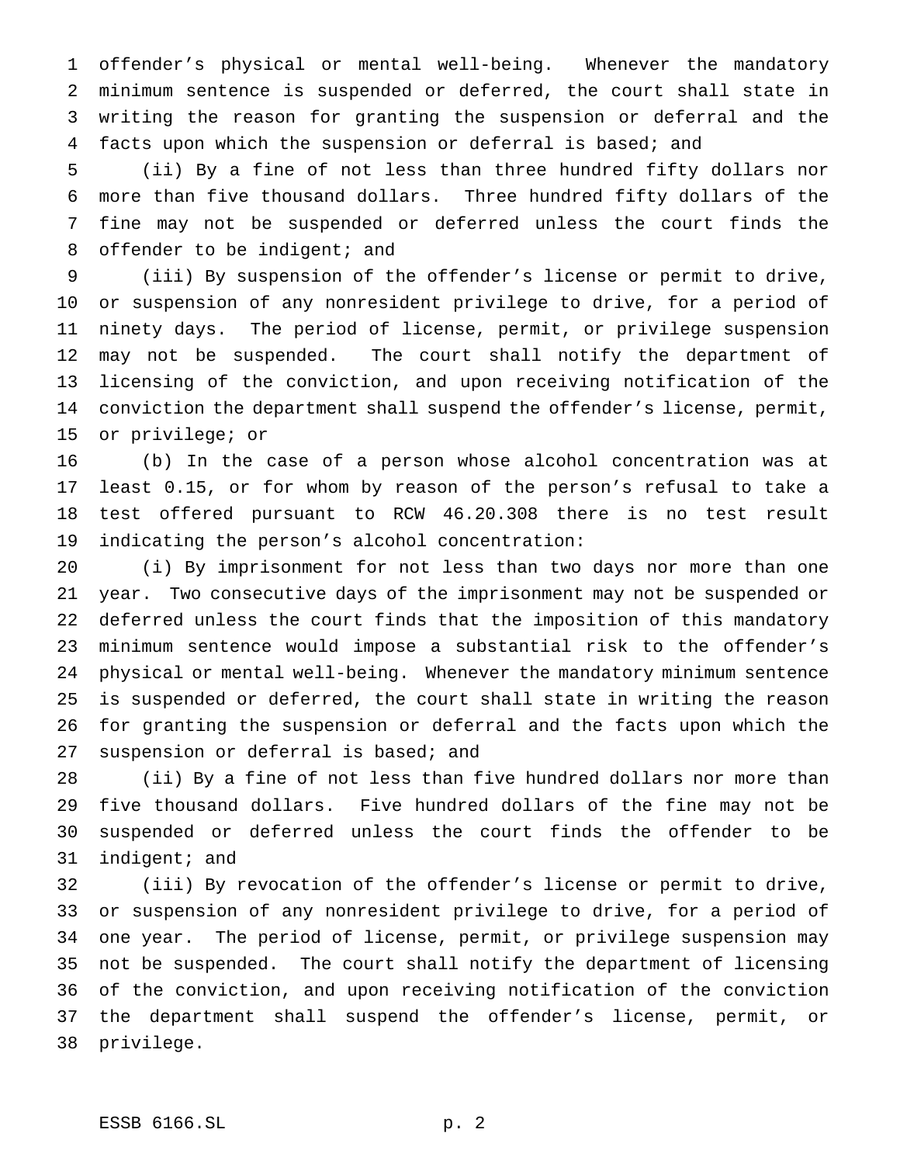offender's physical or mental well-being. Whenever the mandatory minimum sentence is suspended or deferred, the court shall state in writing the reason for granting the suspension or deferral and the facts upon which the suspension or deferral is based; and

 (ii) By a fine of not less than three hundred fifty dollars nor more than five thousand dollars. Three hundred fifty dollars of the fine may not be suspended or deferred unless the court finds the 8 offender to be indigent; and

 (iii) By suspension of the offender's license or permit to drive, or suspension of any nonresident privilege to drive, for a period of ninety days. The period of license, permit, or privilege suspension may not be suspended. The court shall notify the department of licensing of the conviction, and upon receiving notification of the conviction the department shall suspend the offender's license, permit, or privilege; or

 (b) In the case of a person whose alcohol concentration was at least 0.15, or for whom by reason of the person's refusal to take a test offered pursuant to RCW 46.20.308 there is no test result indicating the person's alcohol concentration:

 (i) By imprisonment for not less than two days nor more than one year. Two consecutive days of the imprisonment may not be suspended or deferred unless the court finds that the imposition of this mandatory minimum sentence would impose a substantial risk to the offender's physical or mental well-being. Whenever the mandatory minimum sentence is suspended or deferred, the court shall state in writing the reason for granting the suspension or deferral and the facts upon which the 27 suspension or deferral is based; and

 (ii) By a fine of not less than five hundred dollars nor more than five thousand dollars. Five hundred dollars of the fine may not be suspended or deferred unless the court finds the offender to be indigent; and

 (iii) By revocation of the offender's license or permit to drive, or suspension of any nonresident privilege to drive, for a period of one year. The period of license, permit, or privilege suspension may not be suspended. The court shall notify the department of licensing of the conviction, and upon receiving notification of the conviction the department shall suspend the offender's license, permit, or privilege.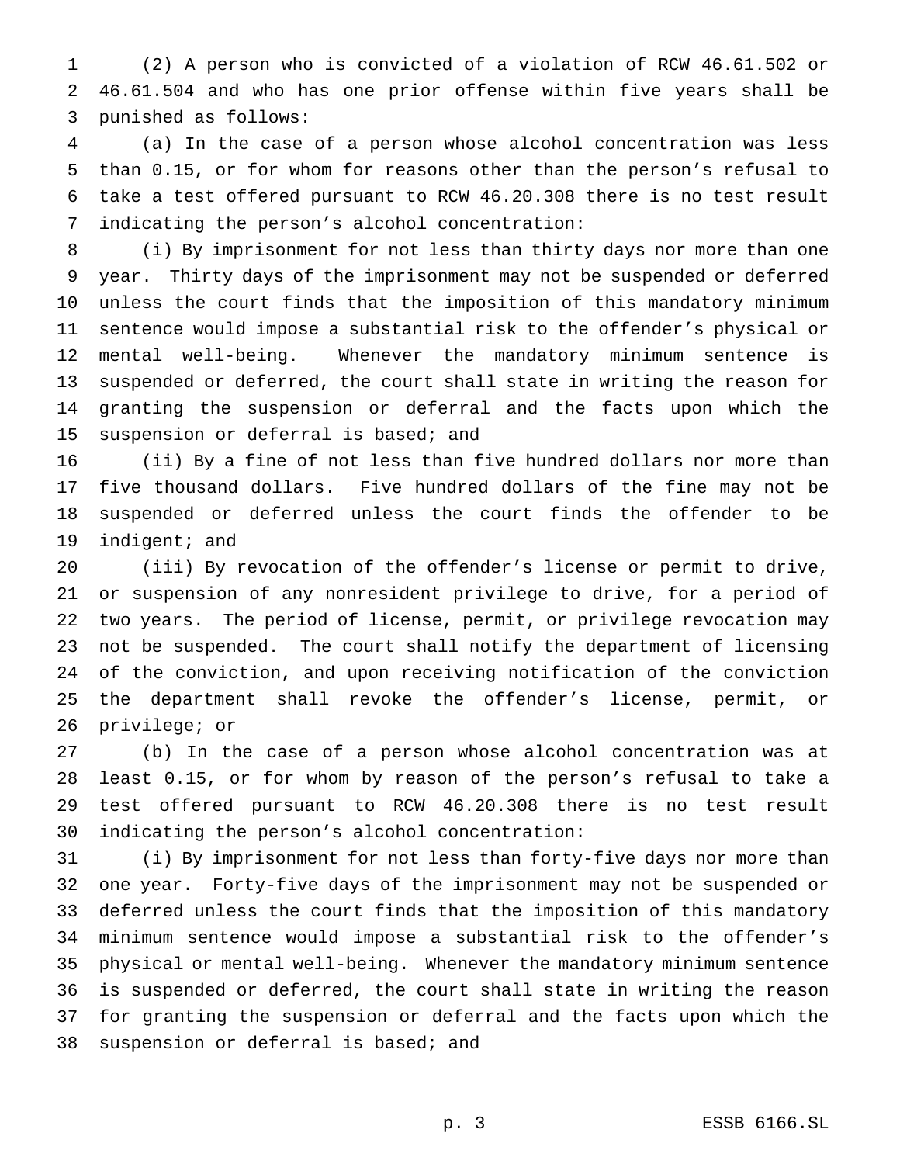(2) A person who is convicted of a violation of RCW 46.61.502 or 46.61.504 and who has one prior offense within five years shall be punished as follows:

 (a) In the case of a person whose alcohol concentration was less than 0.15, or for whom for reasons other than the person's refusal to take a test offered pursuant to RCW 46.20.308 there is no test result indicating the person's alcohol concentration:

 (i) By imprisonment for not less than thirty days nor more than one year. Thirty days of the imprisonment may not be suspended or deferred unless the court finds that the imposition of this mandatory minimum sentence would impose a substantial risk to the offender's physical or mental well-being. Whenever the mandatory minimum sentence is suspended or deferred, the court shall state in writing the reason for granting the suspension or deferral and the facts upon which the suspension or deferral is based; and

 (ii) By a fine of not less than five hundred dollars nor more than five thousand dollars. Five hundred dollars of the fine may not be suspended or deferred unless the court finds the offender to be indigent; and

 (iii) By revocation of the offender's license or permit to drive, or suspension of any nonresident privilege to drive, for a period of two years. The period of license, permit, or privilege revocation may not be suspended. The court shall notify the department of licensing of the conviction, and upon receiving notification of the conviction the department shall revoke the offender's license, permit, or privilege; or

 (b) In the case of a person whose alcohol concentration was at least 0.15, or for whom by reason of the person's refusal to take a test offered pursuant to RCW 46.20.308 there is no test result indicating the person's alcohol concentration:

 (i) By imprisonment for not less than forty-five days nor more than one year. Forty-five days of the imprisonment may not be suspended or deferred unless the court finds that the imposition of this mandatory minimum sentence would impose a substantial risk to the offender's physical or mental well-being. Whenever the mandatory minimum sentence is suspended or deferred, the court shall state in writing the reason for granting the suspension or deferral and the facts upon which the suspension or deferral is based; and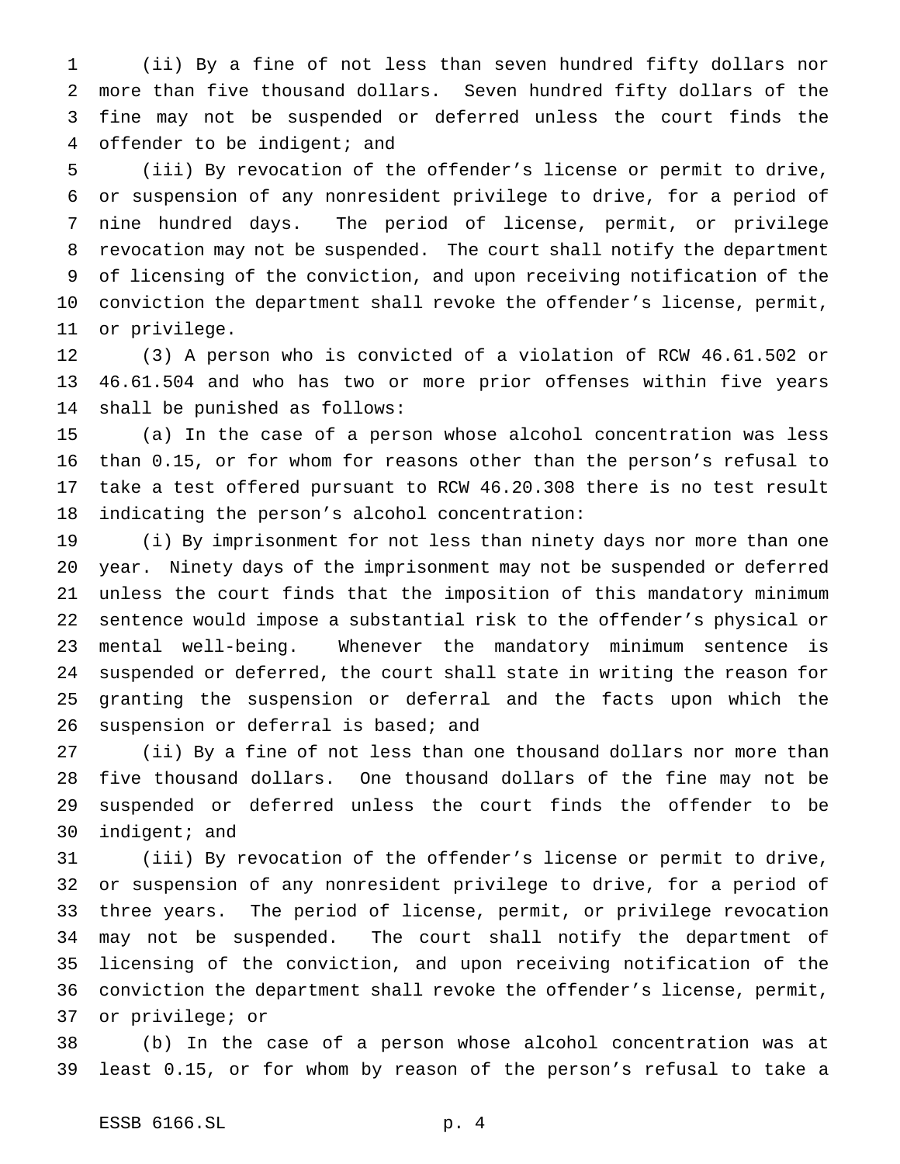(ii) By a fine of not less than seven hundred fifty dollars nor more than five thousand dollars. Seven hundred fifty dollars of the fine may not be suspended or deferred unless the court finds the 4 offender to be indigent; and

 (iii) By revocation of the offender's license or permit to drive, or suspension of any nonresident privilege to drive, for a period of nine hundred days. The period of license, permit, or privilege revocation may not be suspended. The court shall notify the department of licensing of the conviction, and upon receiving notification of the conviction the department shall revoke the offender's license, permit, or privilege.

 (3) A person who is convicted of a violation of RCW 46.61.502 or 46.61.504 and who has two or more prior offenses within five years shall be punished as follows:

 (a) In the case of a person whose alcohol concentration was less than 0.15, or for whom for reasons other than the person's refusal to take a test offered pursuant to RCW 46.20.308 there is no test result indicating the person's alcohol concentration:

 (i) By imprisonment for not less than ninety days nor more than one year. Ninety days of the imprisonment may not be suspended or deferred unless the court finds that the imposition of this mandatory minimum sentence would impose a substantial risk to the offender's physical or mental well-being. Whenever the mandatory minimum sentence is suspended or deferred, the court shall state in writing the reason for granting the suspension or deferral and the facts upon which the 26 suspension or deferral is based; and

 (ii) By a fine of not less than one thousand dollars nor more than five thousand dollars. One thousand dollars of the fine may not be suspended or deferred unless the court finds the offender to be indigent; and

 (iii) By revocation of the offender's license or permit to drive, or suspension of any nonresident privilege to drive, for a period of three years. The period of license, permit, or privilege revocation may not be suspended. The court shall notify the department of licensing of the conviction, and upon receiving notification of the conviction the department shall revoke the offender's license, permit, or privilege; or

 (b) In the case of a person whose alcohol concentration was at least 0.15, or for whom by reason of the person's refusal to take a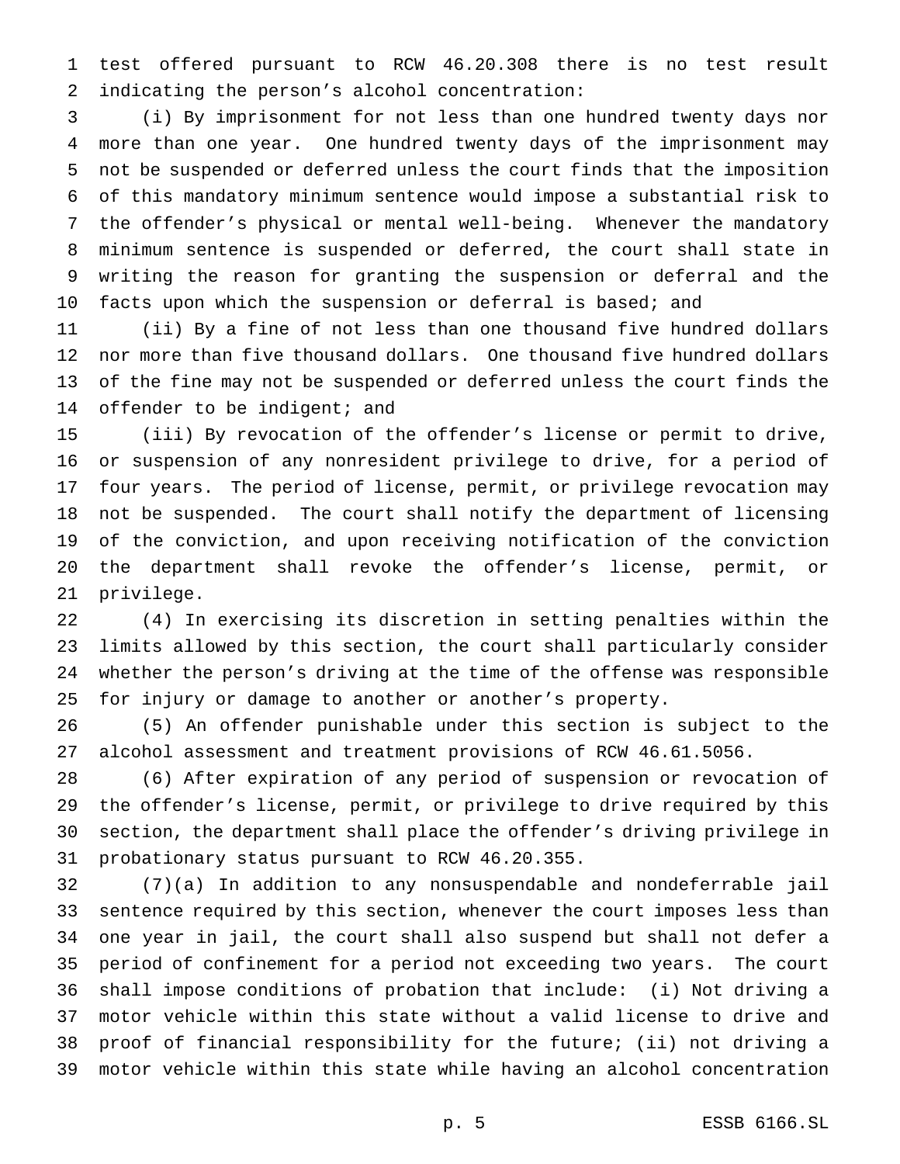test offered pursuant to RCW 46.20.308 there is no test result indicating the person's alcohol concentration:

 (i) By imprisonment for not less than one hundred twenty days nor more than one year. One hundred twenty days of the imprisonment may not be suspended or deferred unless the court finds that the imposition of this mandatory minimum sentence would impose a substantial risk to the offender's physical or mental well-being. Whenever the mandatory minimum sentence is suspended or deferred, the court shall state in writing the reason for granting the suspension or deferral and the facts upon which the suspension or deferral is based; and

 (ii) By a fine of not less than one thousand five hundred dollars nor more than five thousand dollars. One thousand five hundred dollars of the fine may not be suspended or deferred unless the court finds the 14 offender to be indigent; and

 (iii) By revocation of the offender's license or permit to drive, or suspension of any nonresident privilege to drive, for a period of four years. The period of license, permit, or privilege revocation may not be suspended. The court shall notify the department of licensing of the conviction, and upon receiving notification of the conviction the department shall revoke the offender's license, permit, or privilege.

 (4) In exercising its discretion in setting penalties within the limits allowed by this section, the court shall particularly consider whether the person's driving at the time of the offense was responsible for injury or damage to another or another's property.

 (5) An offender punishable under this section is subject to the alcohol assessment and treatment provisions of RCW 46.61.5056.

 (6) After expiration of any period of suspension or revocation of the offender's license, permit, or privilege to drive required by this section, the department shall place the offender's driving privilege in probationary status pursuant to RCW 46.20.355.

 (7)(a) In addition to any nonsuspendable and nondeferrable jail sentence required by this section, whenever the court imposes less than one year in jail, the court shall also suspend but shall not defer a period of confinement for a period not exceeding two years. The court shall impose conditions of probation that include: (i) Not driving a motor vehicle within this state without a valid license to drive and proof of financial responsibility for the future; (ii) not driving a motor vehicle within this state while having an alcohol concentration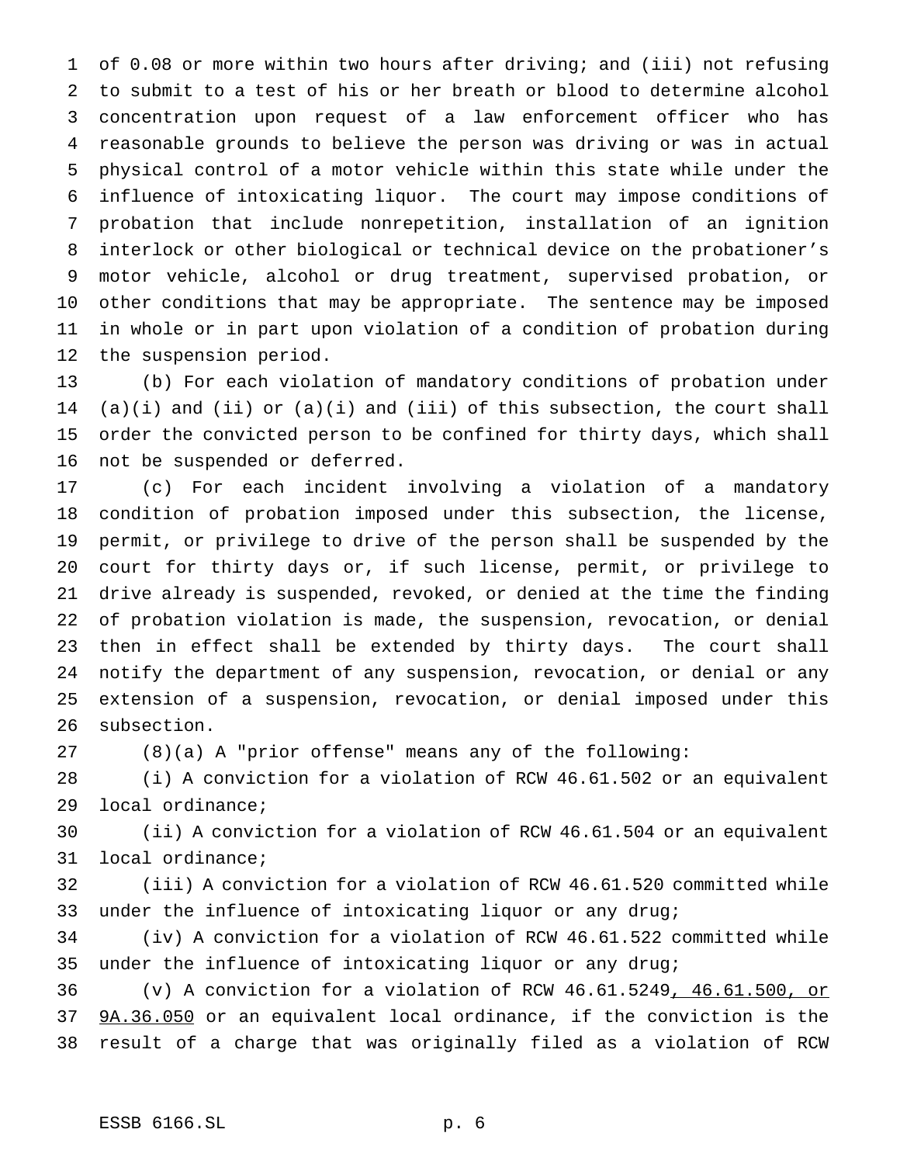of 0.08 or more within two hours after driving; and (iii) not refusing to submit to a test of his or her breath or blood to determine alcohol concentration upon request of a law enforcement officer who has reasonable grounds to believe the person was driving or was in actual physical control of a motor vehicle within this state while under the influence of intoxicating liquor. The court may impose conditions of probation that include nonrepetition, installation of an ignition interlock or other biological or technical device on the probationer's motor vehicle, alcohol or drug treatment, supervised probation, or other conditions that may be appropriate. The sentence may be imposed in whole or in part upon violation of a condition of probation during the suspension period.

 (b) For each violation of mandatory conditions of probation under (a)(i) and (ii) or (a)(i) and (iii) of this subsection, the court shall order the convicted person to be confined for thirty days, which shall not be suspended or deferred.

 (c) For each incident involving a violation of a mandatory condition of probation imposed under this subsection, the license, permit, or privilege to drive of the person shall be suspended by the court for thirty days or, if such license, permit, or privilege to drive already is suspended, revoked, or denied at the time the finding of probation violation is made, the suspension, revocation, or denial then in effect shall be extended by thirty days. The court shall notify the department of any suspension, revocation, or denial or any extension of a suspension, revocation, or denial imposed under this subsection.

(8)(a) A "prior offense" means any of the following:

 (i) A conviction for a violation of RCW 46.61.502 or an equivalent local ordinance;

 (ii) A conviction for a violation of RCW 46.61.504 or an equivalent local ordinance;

 (iii) A conviction for a violation of RCW 46.61.520 committed while under the influence of intoxicating liquor or any drug;

 (iv) A conviction for a violation of RCW 46.61.522 committed while under the influence of intoxicating liquor or any drug;

 (v) A conviction for a violation of RCW 46.61.5249, 46.61.500, or 9A.36.050 or an equivalent local ordinance, if the conviction is the result of a charge that was originally filed as a violation of RCW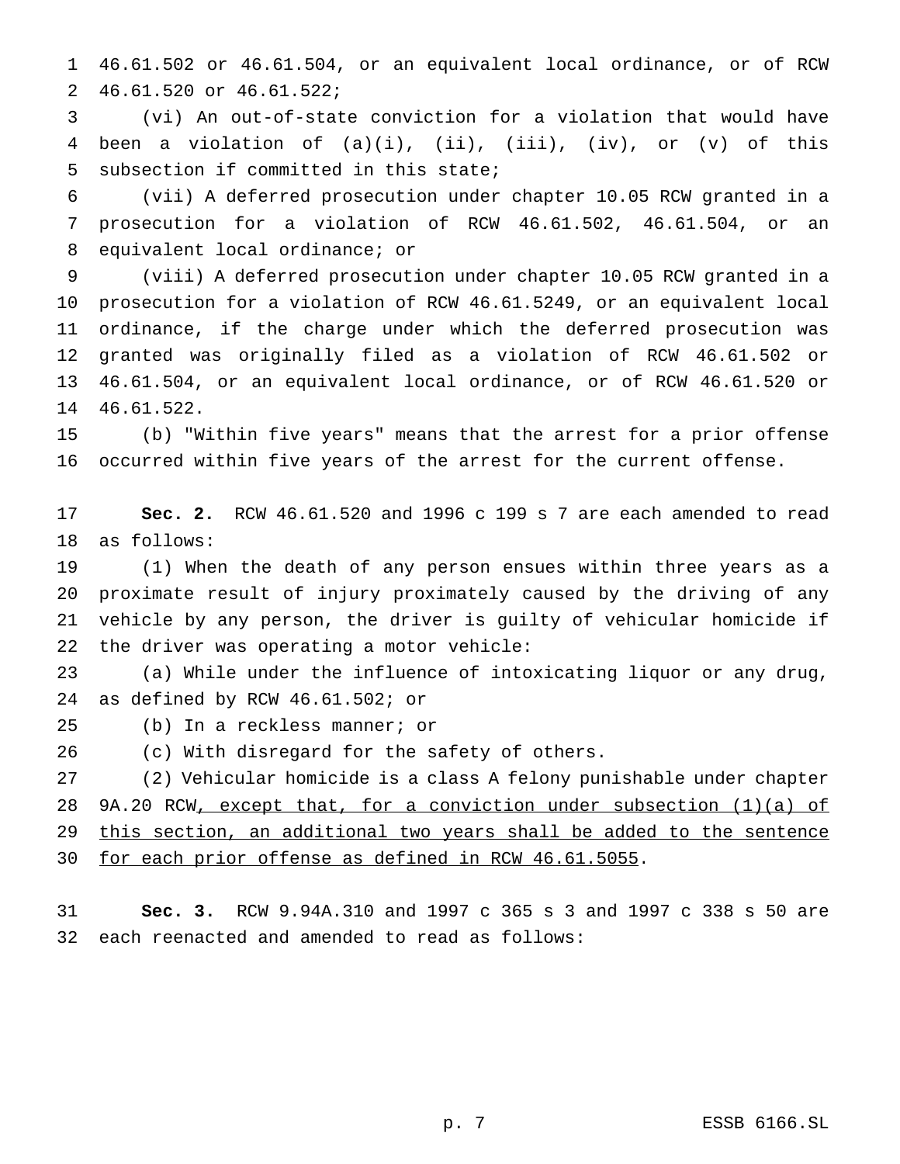46.61.502 or 46.61.504, or an equivalent local ordinance, or of RCW 46.61.520 or 46.61.522;

 (vi) An out-of-state conviction for a violation that would have been a violation of (a)(i), (ii), (iii), (iv), or (v) of this subsection if committed in this state;

 (vii) A deferred prosecution under chapter 10.05 RCW granted in a prosecution for a violation of RCW 46.61.502, 46.61.504, or an equivalent local ordinance; or

 (viii) A deferred prosecution under chapter 10.05 RCW granted in a prosecution for a violation of RCW 46.61.5249, or an equivalent local ordinance, if the charge under which the deferred prosecution was granted was originally filed as a violation of RCW 46.61.502 or 46.61.504, or an equivalent local ordinance, or of RCW 46.61.520 or 46.61.522.

 (b) "Within five years" means that the arrest for a prior offense occurred within five years of the arrest for the current offense.

 **Sec. 2.** RCW 46.61.520 and 1996 c 199 s 7 are each amended to read as follows:

 (1) When the death of any person ensues within three years as a proximate result of injury proximately caused by the driving of any vehicle by any person, the driver is guilty of vehicular homicide if the driver was operating a motor vehicle:

 (a) While under the influence of intoxicating liquor or any drug, as defined by RCW 46.61.502; or

(b) In a reckless manner; or

(c) With disregard for the safety of others.

 (2) Vehicular homicide is a class A felony punishable under chapter 28 9A.20 RCW, except that, for a conviction under subsection (1)(a) of this section, an additional two years shall be added to the sentence 30 for each prior offense as defined in RCW 46.61.5055.

 **Sec. 3.** RCW 9.94A.310 and 1997 c 365 s 3 and 1997 c 338 s 50 are each reenacted and amended to read as follows: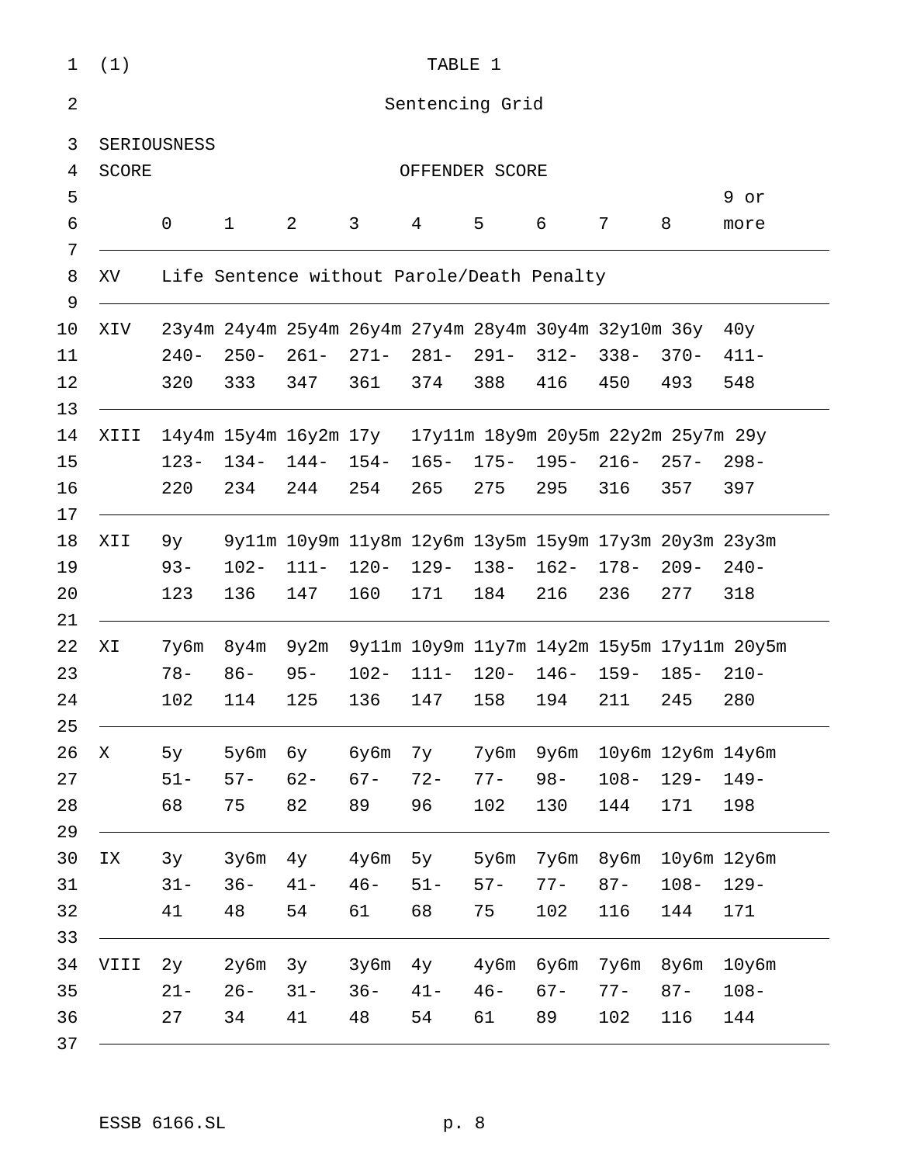| (1)                                 | TABLE 1                                                  |              |         |         |                                                      |         |         |         |                                                       |                 |
|-------------------------------------|----------------------------------------------------------|--------------|---------|---------|------------------------------------------------------|---------|---------|---------|-------------------------------------------------------|-----------------|
| Sentencing Grid                     |                                                          |              |         |         |                                                      |         |         |         |                                                       |                 |
|                                     | SERIOUSNESS                                              |              |         |         |                                                      |         |         |         |                                                       |                 |
| <b>SCORE</b><br>4<br>OFFENDER SCORE |                                                          |              |         |         |                                                      |         |         |         |                                                       |                 |
|                                     |                                                          |              |         |         |                                                      |         |         |         |                                                       | 9 or            |
|                                     | 0                                                        | $\mathbf{1}$ | 2       | 3       | $4\overline{ }$                                      | 5       | 6       | 7       | 8                                                     | more            |
| XV                                  | Life Sentence without Parole/Death Penalty               |              |         |         |                                                      |         |         |         |                                                       |                 |
| XIV                                 |                                                          |              |         |         | 23y4m 24y4m 25y4m 26y4m 27y4m 28y4m 30y4m 32y10m 36y |         |         |         |                                                       | 40y             |
|                                     | $240-$                                                   | $250 -$      | $261-$  | $271 -$ | $281-$                                               | 291-    | $312 -$ | $338 -$ | $370 -$                                               | $411 -$         |
|                                     | 320                                                      | 333          | 347     | 361     | 374                                                  | 388     | 416     | 450     | 493                                                   | 548             |
| XIII                                | 14y4m 15y4m 16y2m 17y 17y11m 18y9m 20y5m 22y2m 25y7m 29y |              |         |         |                                                      |         |         |         |                                                       |                 |
|                                     | $123 -$                                                  | $134-$       | 144-    | $154-$  | $165 -$                                              | $175 -$ | $195 -$ | $216-$  | $257 -$                                               | $298 -$         |
|                                     | 220                                                      | 234          | 244     | 254     | 265                                                  | 275     | 295     | 316     | 357                                                   | 397             |
| XII                                 | 9у —                                                     |              |         |         |                                                      |         |         |         | 9y11m 10y9m 11y8m 12y6m 13y5m 15y9m 17y3m 20y3m 23y3m |                 |
|                                     | $93 -$                                                   | $102 -$      | $111 -$ | $120 -$ | 129-                                                 | $138 -$ | $162 -$ | $178 -$ | $209 -$                                               | $240-$          |
|                                     | 123                                                      | 136          | 147     | 160     | 171                                                  | 184     | 216     | 236     | 277                                                   | 318             |
| ΧI                                  | 7y6m                                                     | 8y4m         | 9y2m    |         | 9y11m 10y9m 11y7m 14y2m 15y5m 17y11m 20y5m           |         |         |         |                                                       |                 |
|                                     | $78 -$                                                   | $86 -$       | $95 -$  | $102 -$ | $111 -$                                              | $120 -$ | $146-$  | $159 -$ | $185 -$                                               | $210-$          |
|                                     | 102                                                      | 114          | 125     | 136     | 147                                                  | 158     | 194     | 211     | 245                                                   | 280             |
| X                                   | 5y                                                       | 5у6m         | бу      | бу6m    | 7у                                                   | 7y6m    | 9y6m    |         | 10y6m 12y6m 14y6m                                     |                 |
|                                     | $51 -$                                                   | $57 -$       | $62 -$  | $67 -$  | $72 -$                                               | $77 -$  | $98 -$  | $108 -$ | $129 -$                                               | $149-$          |
|                                     | 68                                                       | 75           | 82      | 89      | 96                                                   | 102     | 130     | 144     | 171                                                   | 198             |
| IX                                  | 3y                                                       | 3y6m         | 4y      | $4y$ 6m | 5y                                                   | 5y6m    | 7y6m    | 8y6m    |                                                       | $10y6m$ $12y6m$ |
|                                     | $31 -$                                                   | $36 -$       | $41 -$  | $46 -$  | $51 -$                                               | $57 -$  | $77 -$  | $87 -$  | $108 -$                                               | $129 -$         |
|                                     | 41                                                       | 48           | 54      | 61      | 68                                                   | 75      | 102     | 116     | 144                                                   | 171             |
| VIII                                | 2y                                                       | 2y6m         | 3y      | 3y6m    | 4y                                                   | $4y$ 6m | бу6m    | 7y6m    | $8y$ 6m                                               | $10y$ 6m        |
|                                     | $21 -$                                                   | $26 -$       | $31 -$  | $36 -$  | $41 -$                                               | $46 -$  | $67 -$  | $77 -$  | $87 -$                                                | $108 -$         |
|                                     | 27                                                       | 34           | 41      | 48      | 54                                                   | 61      | 89      | 102     | 116                                                   | 144             |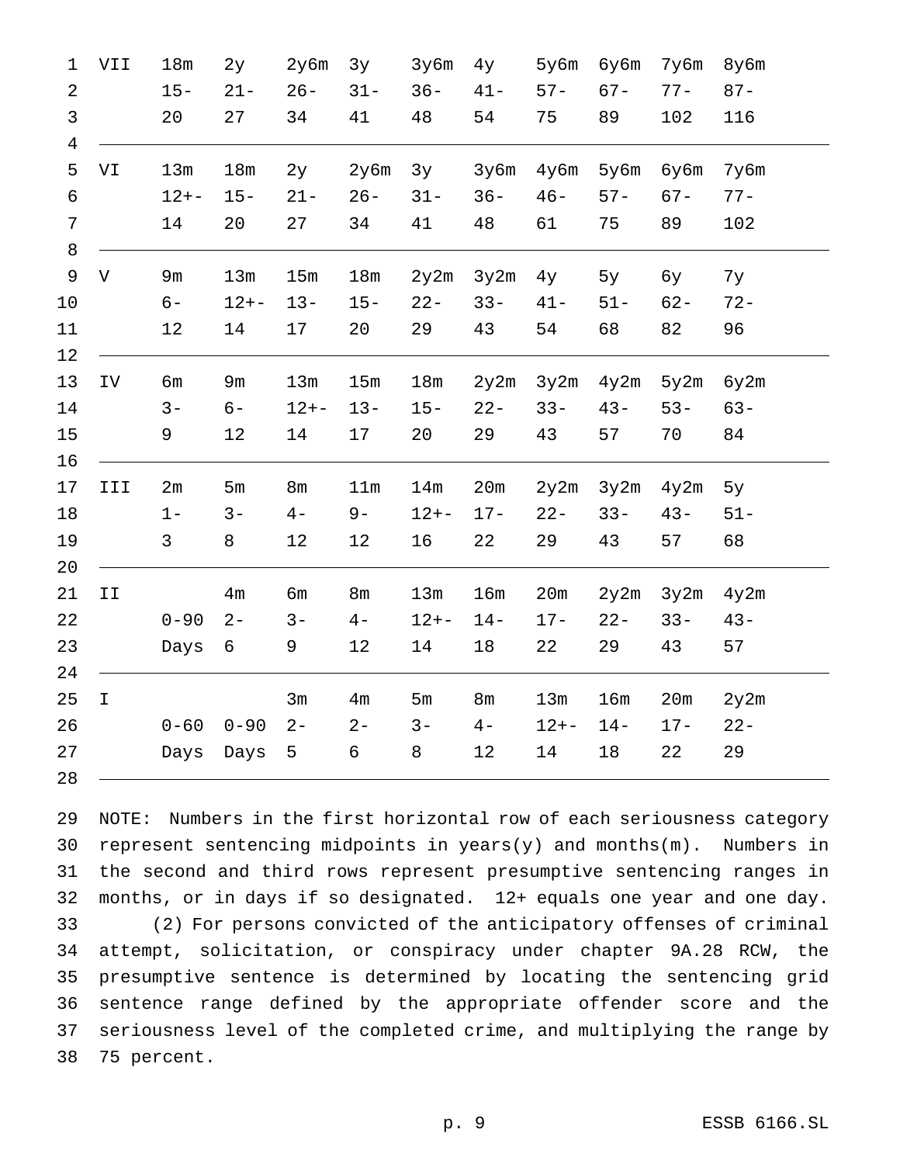| 1              | VII                           | 18m      | 2y             | 2y6m           | 3y             | 3y6m     | 4y             | 5y6m     | бу6m   | 7y6m   | 8y6m   |
|----------------|-------------------------------|----------|----------------|----------------|----------------|----------|----------------|----------|--------|--------|--------|
| $\overline{2}$ |                               | $15 -$   | $21 -$         | $26 -$         | $31 -$         | $36 -$   | $41 -$         | $57 -$   | $67 -$ | $77 -$ | $87 -$ |
| $\mathsf{3}$   |                               | 20       | 27             | 34             | 41             | 48       | 54             | 75       | 89     | 102    | 116    |
| $\overline{4}$ |                               |          |                |                |                |          |                |          |        |        |        |
| 5              | VI                            | 13m      | 18m            | 2y             | 2y6m           | 3y       | 3y6m           | 4y6m     | 5y6m   | 6y6m   | 7y6m   |
| $\epsilon$     |                               | $12 + -$ | $15 -$         | $21 -$         | $26 -$         | $31 -$   | $36 -$         | $46 -$   | $57 -$ | $67 -$ | $77 -$ |
| 7              |                               | 14       | 20             | 27             | 34             | 41       | 48             | 61       | 75     | 89     | 102    |
| 8              |                               |          |                |                |                |          |                |          |        |        |        |
| $\mathsf 9$    | V                             | 9m       | 13m            | 15m            | 18m            | 2y2m     | 3y2m           | 4y       | 5y     | бу     | 7y     |
| $10$           |                               | $6-$     | $12 + -$       | $13 -$         | $15 -$         | $22 -$   | $33 -$         | $41 -$   | $51 -$ | $62 -$ | $72 -$ |
| 11             |                               | 12       | 14             | 17             | 20             | 29       | 43             | 54       | 68     | 82     | 96     |
| 12             |                               |          |                |                |                |          |                |          |        |        |        |
| 13             | IV                            | бm       | 9m             | 13m            | $15m$          | $18m$    | 2y2m           | 3y2m     | 4y2m   | 5y2m   | 6y2m   |
| 14             |                               | $3 -$    | $6-$           | $12 + -$       | $13 -$         | $15 -$   | $22 -$         | $33 -$   | $43 -$ | $53 -$ | $63 -$ |
| 15             |                               | 9        | 12             | 14             | 17             | 20       | 29             | 43       | 57     | 70     | 84     |
| 16             |                               |          |                |                |                |          |                |          |        |        |        |
| 17             | III                           | 2m       | 5m             | 8 <sub>m</sub> | 11m            | 14m      | 20m            | 2y2m     | 3y2m   | 4y2m   | 5y     |
| 18             |                               | $1 -$    | $3 -$          | $4-$           | $9-$           | $12 + -$ | $17 -$         | $22 -$   | $33 -$ | $43 -$ | $51 -$ |
| 19             |                               | 3        | 8              | 12             | 12             | 16       | 22             | 29       | 43     | 57     | 68     |
| 20             |                               |          |                |                |                |          |                |          |        |        |        |
| 21             | $\mbox{\bf I}$ $\mbox{\bf I}$ |          | 4 <sub>m</sub> | бm             | 8 <sub>m</sub> | 13m      | 16m            | 20m      | 2y2m   | 3y2m   | 4y2m   |
| 22             |                               | $0 - 90$ | $2 -$          | $3 -$          | $4-$           | $12 + -$ | $14-$          | $17 -$   | $22 -$ | $33 -$ | $43 -$ |
| 23             |                               | Days     | 6              | 9              | 12             | 14       | 18             | 22       | 29     | 43     | 57     |
| 24             |                               |          |                |                |                |          |                |          |        |        |        |
| 25             | $\mathbf I$                   |          |                | 3m             | 4m             | 5m       | 8 <sub>m</sub> | 13m      | 16m    | 20m    | 2y2m   |
| 26             |                               | $0 - 60$ | $0 - 90$       | $2 -$          | $2 -$          | $3 -$    | $4-$           | $12 + -$ | $14 -$ | $17 -$ | $22 -$ |
| 27             |                               | Days     | Days           | 5              | 6              | 8        | 12             | 14       | 18     | 22     | 29     |
| 28             |                               |          |                |                |                |          |                |          |        |        |        |

 NOTE: Numbers in the first horizontal row of each seriousness category 30 represent sentencing midpoints in  $years(y)$  and months(m). Numbers in the second and third rows represent presumptive sentencing ranges in months, or in days if so designated. 12+ equals one year and one day. (2) For persons convicted of the anticipatory offenses of criminal attempt, solicitation, or conspiracy under chapter 9A.28 RCW, the presumptive sentence is determined by locating the sentencing grid sentence range defined by the appropriate offender score and the seriousness level of the completed crime, and multiplying the range by 75 percent.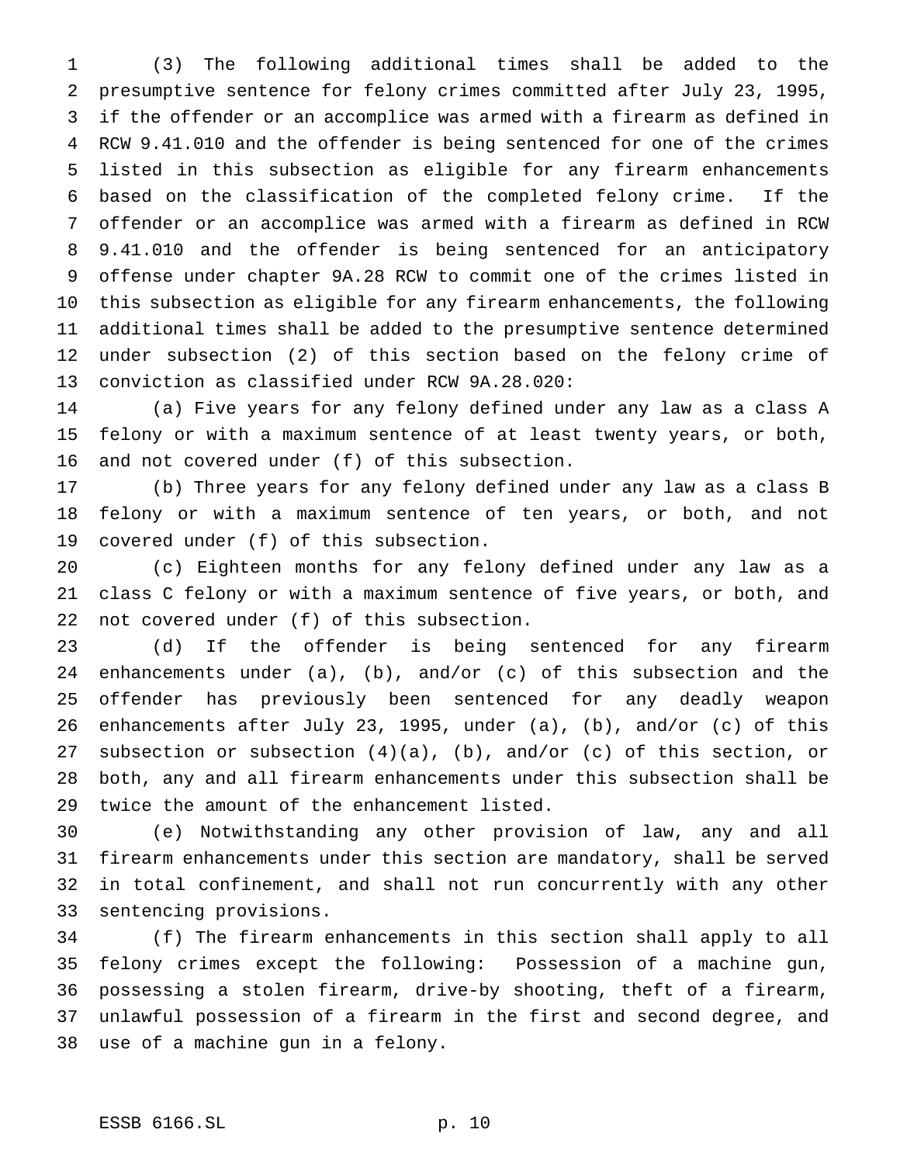(3) The following additional times shall be added to the presumptive sentence for felony crimes committed after July 23, 1995, if the offender or an accomplice was armed with a firearm as defined in RCW 9.41.010 and the offender is being sentenced for one of the crimes listed in this subsection as eligible for any firearm enhancements based on the classification of the completed felony crime. If the offender or an accomplice was armed with a firearm as defined in RCW 9.41.010 and the offender is being sentenced for an anticipatory offense under chapter 9A.28 RCW to commit one of the crimes listed in this subsection as eligible for any firearm enhancements, the following additional times shall be added to the presumptive sentence determined under subsection (2) of this section based on the felony crime of conviction as classified under RCW 9A.28.020:

 (a) Five years for any felony defined under any law as a class A felony or with a maximum sentence of at least twenty years, or both, and not covered under (f) of this subsection.

 (b) Three years for any felony defined under any law as a class B felony or with a maximum sentence of ten years, or both, and not covered under (f) of this subsection.

 (c) Eighteen months for any felony defined under any law as a class C felony or with a maximum sentence of five years, or both, and not covered under (f) of this subsection.

 (d) If the offender is being sentenced for any firearm enhancements under (a), (b), and/or (c) of this subsection and the offender has previously been sentenced for any deadly weapon enhancements after July 23, 1995, under (a), (b), and/or (c) of this subsection or subsection (4)(a), (b), and/or (c) of this section, or both, any and all firearm enhancements under this subsection shall be twice the amount of the enhancement listed.

 (e) Notwithstanding any other provision of law, any and all firearm enhancements under this section are mandatory, shall be served in total confinement, and shall not run concurrently with any other sentencing provisions.

 (f) The firearm enhancements in this section shall apply to all felony crimes except the following: Possession of a machine gun, possessing a stolen firearm, drive-by shooting, theft of a firearm, unlawful possession of a firearm in the first and second degree, and use of a machine gun in a felony.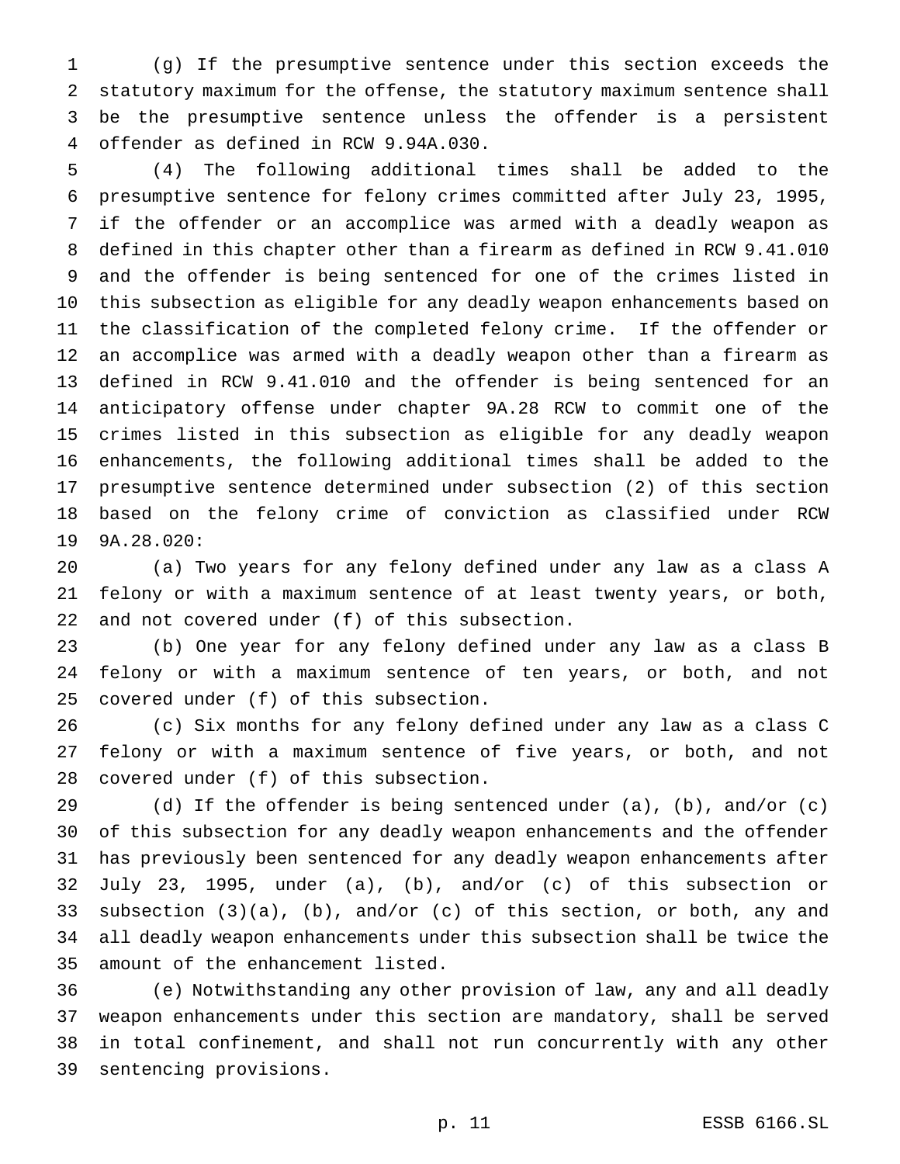(g) If the presumptive sentence under this section exceeds the statutory maximum for the offense, the statutory maximum sentence shall be the presumptive sentence unless the offender is a persistent offender as defined in RCW 9.94A.030.

 (4) The following additional times shall be added to the presumptive sentence for felony crimes committed after July 23, 1995, if the offender or an accomplice was armed with a deadly weapon as defined in this chapter other than a firearm as defined in RCW 9.41.010 and the offender is being sentenced for one of the crimes listed in this subsection as eligible for any deadly weapon enhancements based on the classification of the completed felony crime. If the offender or an accomplice was armed with a deadly weapon other than a firearm as defined in RCW 9.41.010 and the offender is being sentenced for an anticipatory offense under chapter 9A.28 RCW to commit one of the crimes listed in this subsection as eligible for any deadly weapon enhancements, the following additional times shall be added to the presumptive sentence determined under subsection (2) of this section based on the felony crime of conviction as classified under RCW 9A.28.020:

 (a) Two years for any felony defined under any law as a class A felony or with a maximum sentence of at least twenty years, or both, and not covered under (f) of this subsection.

 (b) One year for any felony defined under any law as a class B felony or with a maximum sentence of ten years, or both, and not covered under (f) of this subsection.

 (c) Six months for any felony defined under any law as a class C felony or with a maximum sentence of five years, or both, and not covered under (f) of this subsection.

 (d) If the offender is being sentenced under (a), (b), and/or (c) of this subsection for any deadly weapon enhancements and the offender has previously been sentenced for any deadly weapon enhancements after July 23, 1995, under (a), (b), and/or (c) of this subsection or subsection (3)(a), (b), and/or (c) of this section, or both, any and all deadly weapon enhancements under this subsection shall be twice the amount of the enhancement listed.

 (e) Notwithstanding any other provision of law, any and all deadly weapon enhancements under this section are mandatory, shall be served in total confinement, and shall not run concurrently with any other sentencing provisions.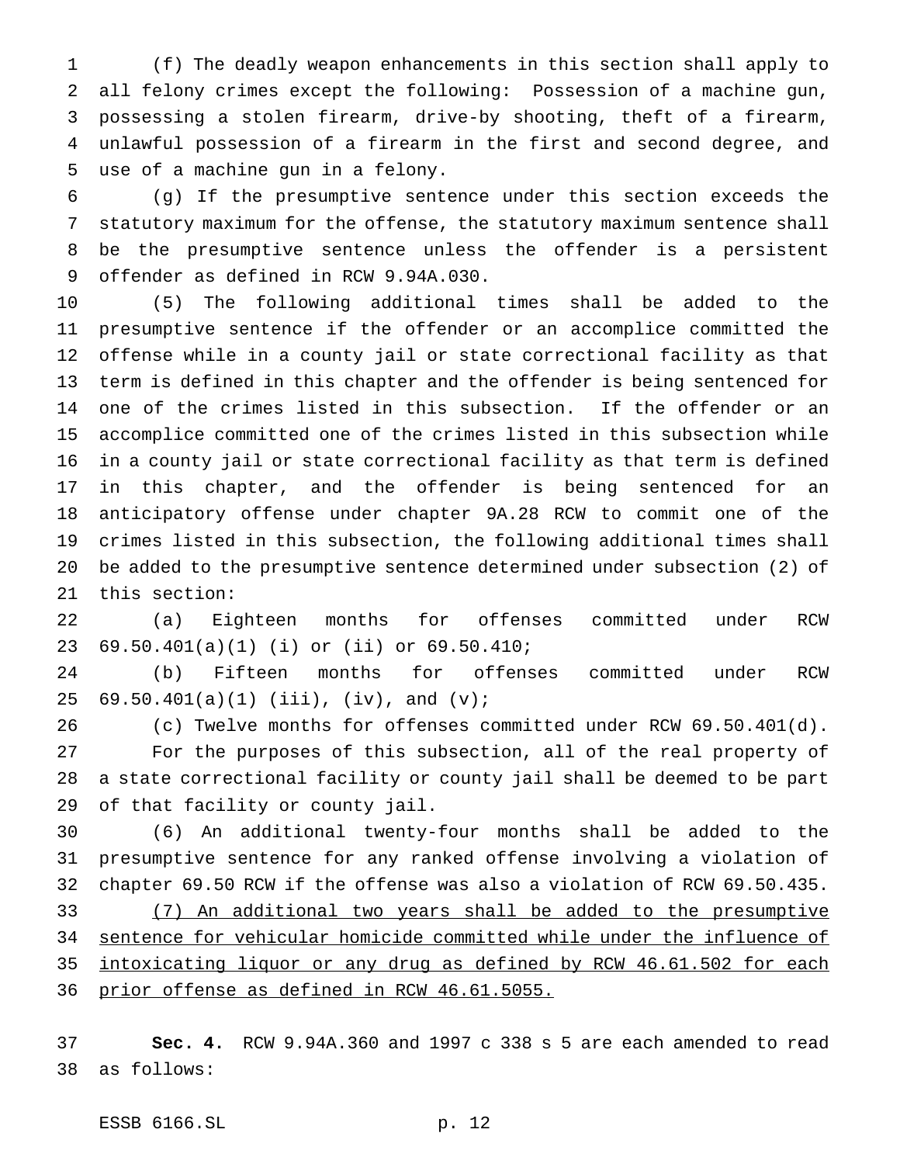(f) The deadly weapon enhancements in this section shall apply to all felony crimes except the following: Possession of a machine gun, possessing a stolen firearm, drive-by shooting, theft of a firearm, unlawful possession of a firearm in the first and second degree, and use of a machine gun in a felony.

 (g) If the presumptive sentence under this section exceeds the statutory maximum for the offense, the statutory maximum sentence shall be the presumptive sentence unless the offender is a persistent offender as defined in RCW 9.94A.030.

 (5) The following additional times shall be added to the presumptive sentence if the offender or an accomplice committed the offense while in a county jail or state correctional facility as that term is defined in this chapter and the offender is being sentenced for one of the crimes listed in this subsection. If the offender or an accomplice committed one of the crimes listed in this subsection while in a county jail or state correctional facility as that term is defined in this chapter, and the offender is being sentenced for an anticipatory offense under chapter 9A.28 RCW to commit one of the crimes listed in this subsection, the following additional times shall be added to the presumptive sentence determined under subsection (2) of this section:

 (a) Eighteen months for offenses committed under RCW 69.50.401(a)(1) (i) or (ii) or 69.50.410;

 (b) Fifteen months for offenses committed under RCW 25 69.50.401(a)(1) (iii), (iv), and  $(v)$ ;

 (c) Twelve months for offenses committed under RCW 69.50.401(d). For the purposes of this subsection, all of the real property of a state correctional facility or county jail shall be deemed to be part of that facility or county jail.

 (6) An additional twenty-four months shall be added to the presumptive sentence for any ranked offense involving a violation of chapter 69.50 RCW if the offense was also a violation of RCW 69.50.435. (7) An additional two years shall be added to the presumptive sentence for vehicular homicide committed while under the influence of intoxicating liquor or any drug as defined by RCW 46.61.502 for each

prior offense as defined in RCW 46.61.5055.

 **Sec. 4.** RCW 9.94A.360 and 1997 c 338 s 5 are each amended to read as follows:

ESSB 6166.SL p. 12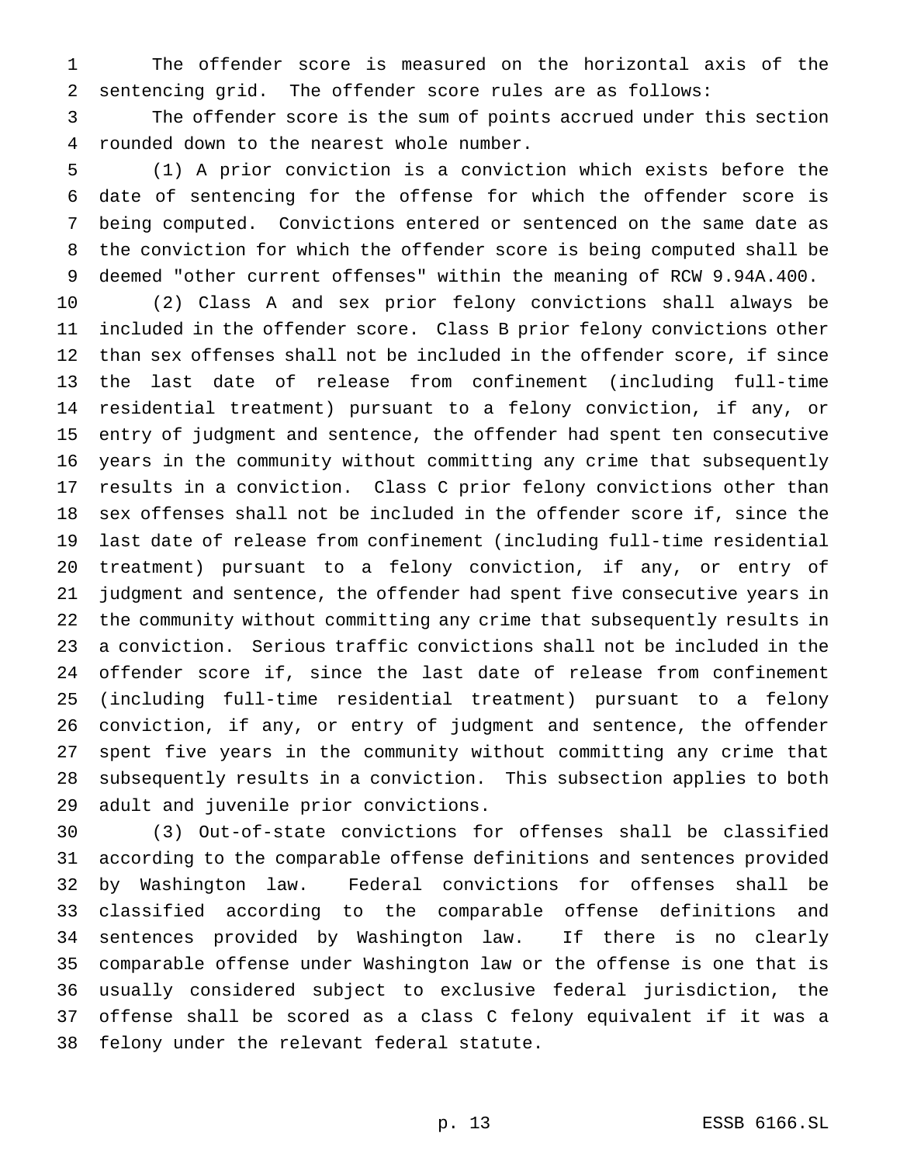The offender score is measured on the horizontal axis of the sentencing grid. The offender score rules are as follows:

 The offender score is the sum of points accrued under this section rounded down to the nearest whole number.

 (1) A prior conviction is a conviction which exists before the date of sentencing for the offense for which the offender score is being computed. Convictions entered or sentenced on the same date as the conviction for which the offender score is being computed shall be deemed "other current offenses" within the meaning of RCW 9.94A.400.

 (2) Class A and sex prior felony convictions shall always be included in the offender score. Class B prior felony convictions other than sex offenses shall not be included in the offender score, if since the last date of release from confinement (including full-time residential treatment) pursuant to a felony conviction, if any, or entry of judgment and sentence, the offender had spent ten consecutive years in the community without committing any crime that subsequently results in a conviction. Class C prior felony convictions other than sex offenses shall not be included in the offender score if, since the last date of release from confinement (including full-time residential treatment) pursuant to a felony conviction, if any, or entry of judgment and sentence, the offender had spent five consecutive years in the community without committing any crime that subsequently results in a conviction. Serious traffic convictions shall not be included in the offender score if, since the last date of release from confinement (including full-time residential treatment) pursuant to a felony conviction, if any, or entry of judgment and sentence, the offender spent five years in the community without committing any crime that subsequently results in a conviction. This subsection applies to both adult and juvenile prior convictions.

 (3) Out-of-state convictions for offenses shall be classified according to the comparable offense definitions and sentences provided by Washington law. Federal convictions for offenses shall be classified according to the comparable offense definitions and sentences provided by Washington law. If there is no clearly comparable offense under Washington law or the offense is one that is usually considered subject to exclusive federal jurisdiction, the offense shall be scored as a class C felony equivalent if it was a felony under the relevant federal statute.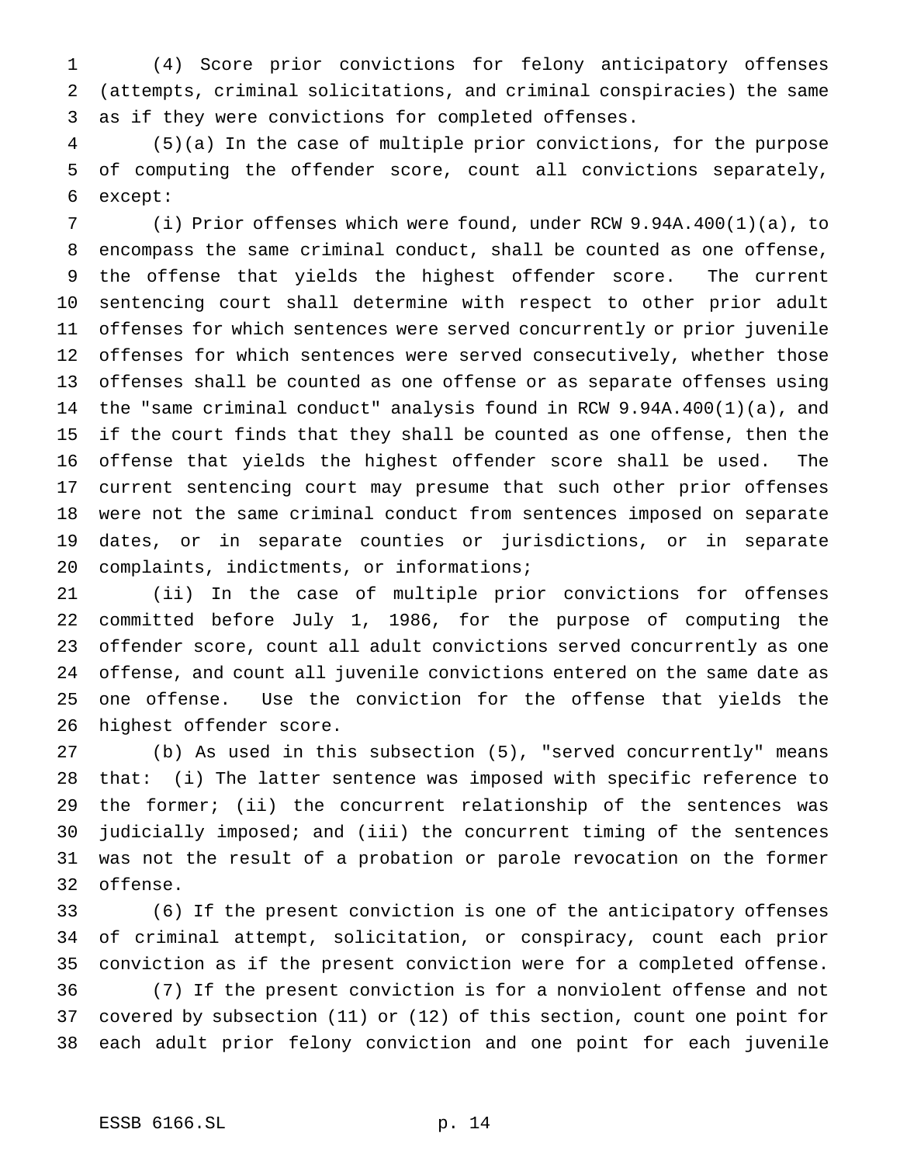(4) Score prior convictions for felony anticipatory offenses (attempts, criminal solicitations, and criminal conspiracies) the same as if they were convictions for completed offenses.

 (5)(a) In the case of multiple prior convictions, for the purpose of computing the offender score, count all convictions separately, except:

 (i) Prior offenses which were found, under RCW 9.94A.400(1)(a), to encompass the same criminal conduct, shall be counted as one offense, the offense that yields the highest offender score. The current sentencing court shall determine with respect to other prior adult offenses for which sentences were served concurrently or prior juvenile offenses for which sentences were served consecutively, whether those offenses shall be counted as one offense or as separate offenses using the "same criminal conduct" analysis found in RCW 9.94A.400(1)(a), and if the court finds that they shall be counted as one offense, then the offense that yields the highest offender score shall be used. The current sentencing court may presume that such other prior offenses were not the same criminal conduct from sentences imposed on separate dates, or in separate counties or jurisdictions, or in separate complaints, indictments, or informations;

 (ii) In the case of multiple prior convictions for offenses committed before July 1, 1986, for the purpose of computing the offender score, count all adult convictions served concurrently as one offense, and count all juvenile convictions entered on the same date as one offense. Use the conviction for the offense that yields the highest offender score.

 (b) As used in this subsection (5), "served concurrently" means that: (i) The latter sentence was imposed with specific reference to the former; (ii) the concurrent relationship of the sentences was judicially imposed; and (iii) the concurrent timing of the sentences was not the result of a probation or parole revocation on the former offense.

 (6) If the present conviction is one of the anticipatory offenses of criminal attempt, solicitation, or conspiracy, count each prior conviction as if the present conviction were for a completed offense. (7) If the present conviction is for a nonviolent offense and not covered by subsection (11) or (12) of this section, count one point for each adult prior felony conviction and one point for each juvenile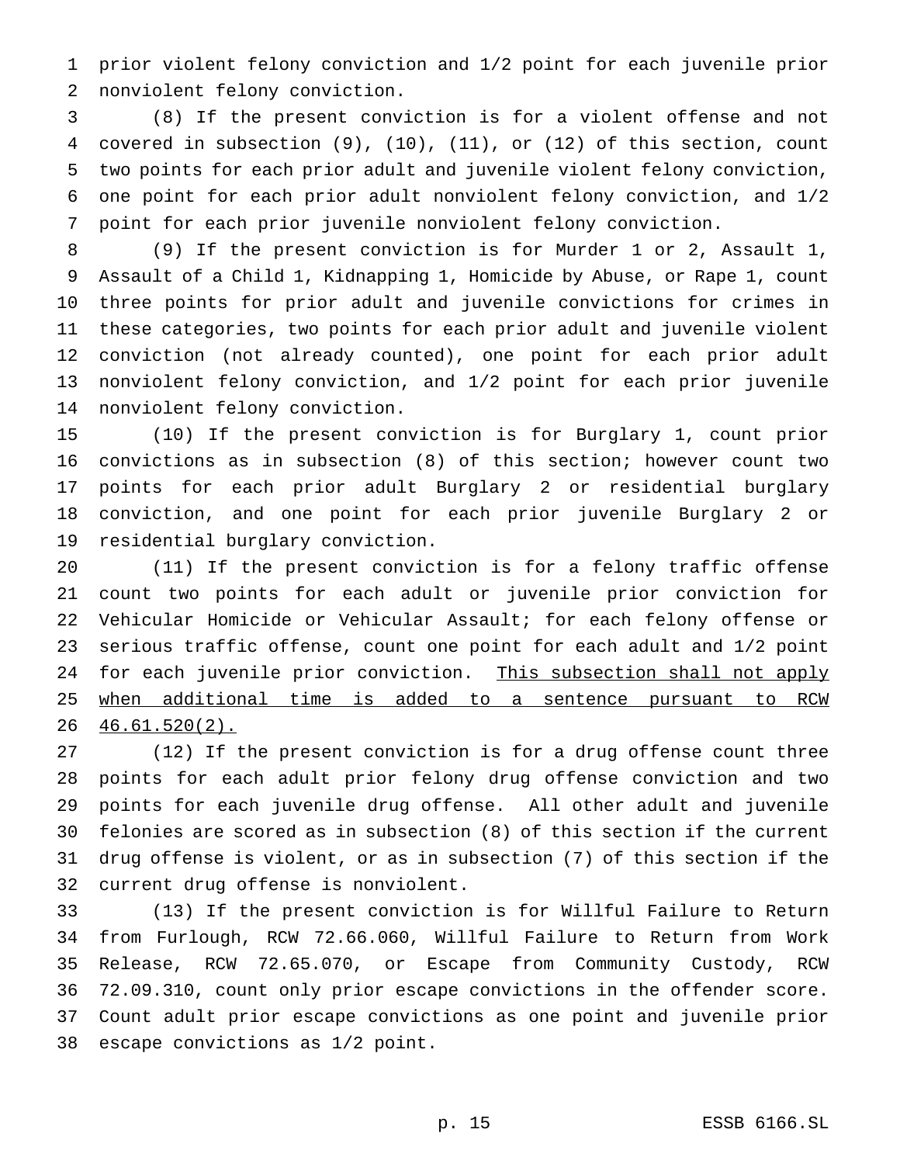prior violent felony conviction and 1/2 point for each juvenile prior nonviolent felony conviction.

 (8) If the present conviction is for a violent offense and not covered in subsection (9), (10), (11), or (12) of this section, count two points for each prior adult and juvenile violent felony conviction, one point for each prior adult nonviolent felony conviction, and 1/2 point for each prior juvenile nonviolent felony conviction.

 (9) If the present conviction is for Murder 1 or 2, Assault 1, Assault of a Child 1, Kidnapping 1, Homicide by Abuse, or Rape 1, count three points for prior adult and juvenile convictions for crimes in these categories, two points for each prior adult and juvenile violent conviction (not already counted), one point for each prior adult nonviolent felony conviction, and 1/2 point for each prior juvenile nonviolent felony conviction.

 (10) If the present conviction is for Burglary 1, count prior convictions as in subsection (8) of this section; however count two points for each prior adult Burglary 2 or residential burglary conviction, and one point for each prior juvenile Burglary 2 or residential burglary conviction.

 (11) If the present conviction is for a felony traffic offense count two points for each adult or juvenile prior conviction for Vehicular Homicide or Vehicular Assault; for each felony offense or serious traffic offense, count one point for each adult and 1/2 point 24 for each juvenile prior conviction. This subsection shall not apply when additional time is added to a sentence pursuant to RCW 46.61.520(2).

 (12) If the present conviction is for a drug offense count three points for each adult prior felony drug offense conviction and two points for each juvenile drug offense. All other adult and juvenile felonies are scored as in subsection (8) of this section if the current drug offense is violent, or as in subsection (7) of this section if the current drug offense is nonviolent.

 (13) If the present conviction is for Willful Failure to Return from Furlough, RCW 72.66.060, Willful Failure to Return from Work Release, RCW 72.65.070, or Escape from Community Custody, RCW 72.09.310, count only prior escape convictions in the offender score. Count adult prior escape convictions as one point and juvenile prior escape convictions as 1/2 point.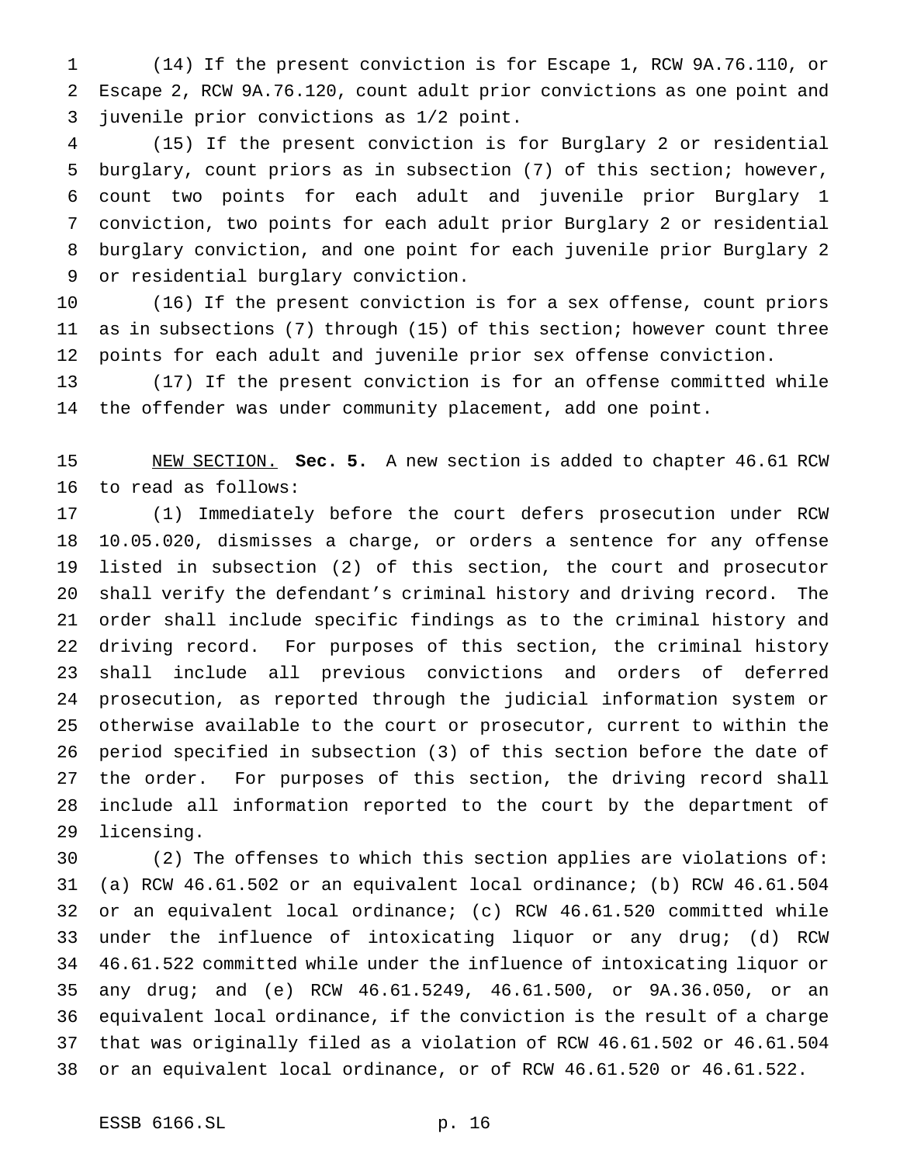(14) If the present conviction is for Escape 1, RCW 9A.76.110, or Escape 2, RCW 9A.76.120, count adult prior convictions as one point and juvenile prior convictions as 1/2 point.

 (15) If the present conviction is for Burglary 2 or residential burglary, count priors as in subsection (7) of this section; however, count two points for each adult and juvenile prior Burglary 1 conviction, two points for each adult prior Burglary 2 or residential burglary conviction, and one point for each juvenile prior Burglary 2 or residential burglary conviction.

 (16) If the present conviction is for a sex offense, count priors as in subsections (7) through (15) of this section; however count three points for each adult and juvenile prior sex offense conviction.

 (17) If the present conviction is for an offense committed while the offender was under community placement, add one point.

 NEW SECTION. **Sec. 5.** A new section is added to chapter 46.61 RCW to read as follows:

 (1) Immediately before the court defers prosecution under RCW 10.05.020, dismisses a charge, or orders a sentence for any offense listed in subsection (2) of this section, the court and prosecutor shall verify the defendant's criminal history and driving record. The order shall include specific findings as to the criminal history and driving record. For purposes of this section, the criminal history shall include all previous convictions and orders of deferred prosecution, as reported through the judicial information system or otherwise available to the court or prosecutor, current to within the period specified in subsection (3) of this section before the date of the order. For purposes of this section, the driving record shall include all information reported to the court by the department of licensing.

 (2) The offenses to which this section applies are violations of: (a) RCW 46.61.502 or an equivalent local ordinance; (b) RCW 46.61.504 or an equivalent local ordinance; (c) RCW 46.61.520 committed while under the influence of intoxicating liquor or any drug; (d) RCW 46.61.522 committed while under the influence of intoxicating liquor or any drug; and (e) RCW 46.61.5249, 46.61.500, or 9A.36.050, or an equivalent local ordinance, if the conviction is the result of a charge that was originally filed as a violation of RCW 46.61.502 or 46.61.504 or an equivalent local ordinance, or of RCW 46.61.520 or 46.61.522.